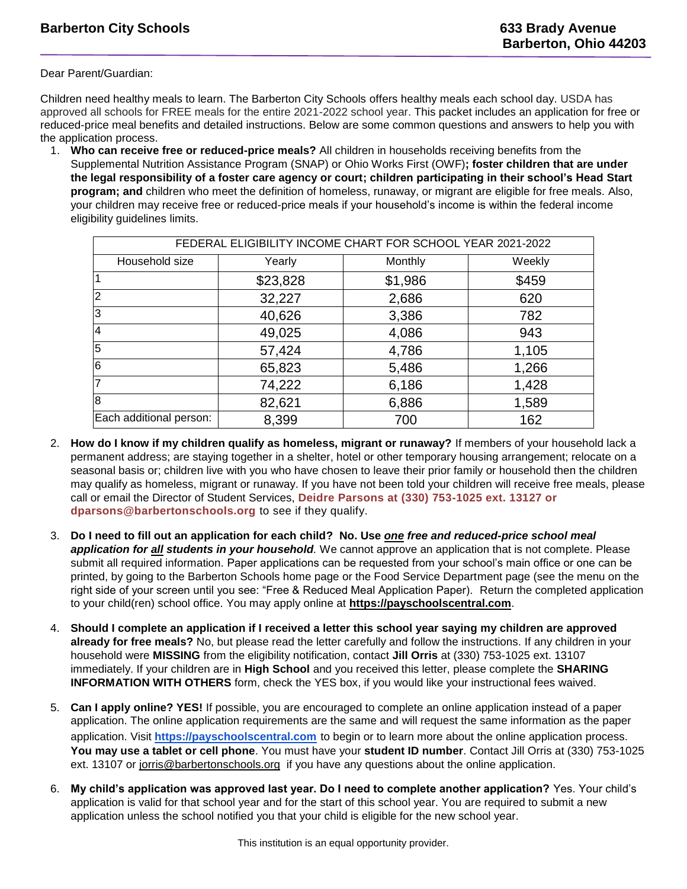Dear Parent/Guardian:

Children need healthy meals to learn. The Barberton City Schools offers healthy meals each school day. USDA has approved all schools for FREE meals for the entire 2021-2022 school year. This packet includes an application for free or reduced-price meal benefits and detailed instructions. Below are some common questions and answers to help you with the application process.

1. **Who can receive free or reduced-price meals?** All children in households receiving benefits from the Supplemental Nutrition Assistance Program (SNAP) or Ohio Works First (OWF)**; foster children that are under the legal responsibility of a foster care agency or court; children participating in their school's Head Start program; and** children who meet the definition of homeless, runaway, or migrant are eligible for free meals. Also, your children may receive free or reduced-price meals if your household's income is within the federal income eligibility guidelines limits.

| FEDERAL ELIGIBILITY INCOME CHART FOR SCHOOL YEAR 2021-2022 |          |         |        |
|------------------------------------------------------------|----------|---------|--------|
| Household size                                             | Yearly   | Monthly | Weekly |
|                                                            | \$23,828 | \$1,986 | \$459  |
| $\overline{2}$                                             | 32,227   | 2,686   | 620    |
| 3                                                          | 40,626   | 3,386   | 782    |
| $\overline{4}$                                             | 49,025   | 4,086   | 943    |
| 5                                                          | 57,424   | 4,786   | 1,105  |
| 6                                                          | 65,823   | 5,486   | 1,266  |
| $\overline{7}$                                             | 74,222   | 6,186   | 1,428  |
| 8                                                          | 82,621   | 6,886   | 1,589  |
| Each additional person:                                    | 8,399    | 700     | 162    |

- 2. **How do I know if my children qualify as homeless, migrant or runaway?** If members of your household lack a permanent address; are staying together in a shelter, hotel or other temporary housing arrangement; relocate on a seasonal basis or; children live with you who have chosen to leave their prior family or household then the children may qualify as homeless, migrant or runaway. If you have not been told your children will receive free meals, please call or email the Director of Student Services, **Deidre Parsons at (330) 753-1025 ext. 13127 or dparsons@barbertonschools.org** to see if they qualify.
- 3. **Do I need to fill out an application for each child? No. Use** *one free and reduced-price school meal application for all students in your household.* We cannot approve an application that is not complete. Please submit all required information. Paper applications can be requested from your school's main office or one can be printed, by going to the Barberton Schools home page or the Food Service Department page (see the menu on the right side of your screen until you see: "Free & Reduced Meal Application Paper). Return the completed application to your child(ren) school office. You may apply online at **[https://payschoolscentral.com](https://payschoolscentral.com/)**.
- 4. **Should I complete an application if I received a letter this school year saying my children are approved already for free meals?** No, but please read the letter carefully and follow the instructions. If any children in your household were **MISSING** from the eligibility notification, contact **Jill Orris** at (330) 753-1025 ext. 13107 immediately. If your children are in **High School** and you received this letter, please complete the **SHARING INFORMATION WITH OTHERS** form, check the YES box, if you would like your instructional fees waived.
- 5. **Can I apply online? YES!** If possible, you are encouraged to complete an online application instead of a paper application. The online application requirements are the same and will request the same information as the paper application. Visit **[https://payschoolscentral.com](https://payschoolscentral.com/)** to begin or to learn more about the online application process. **You may use a tablet or cell phone**. You must have your **student ID number**. Contact Jill Orris at (330) 753-1025 ext. 13107 or [jorris@barbertonschools.org](mailto:jorris@barbertonschools.org) if you have any questions about the online application.
- 6. **My child's application was approved last year. Do I need to complete another application?** Yes. Your child's application is valid for that school year and for the start of this school year. You are required to submit a new application unless the school notified you that your child is eligible for the new school year.